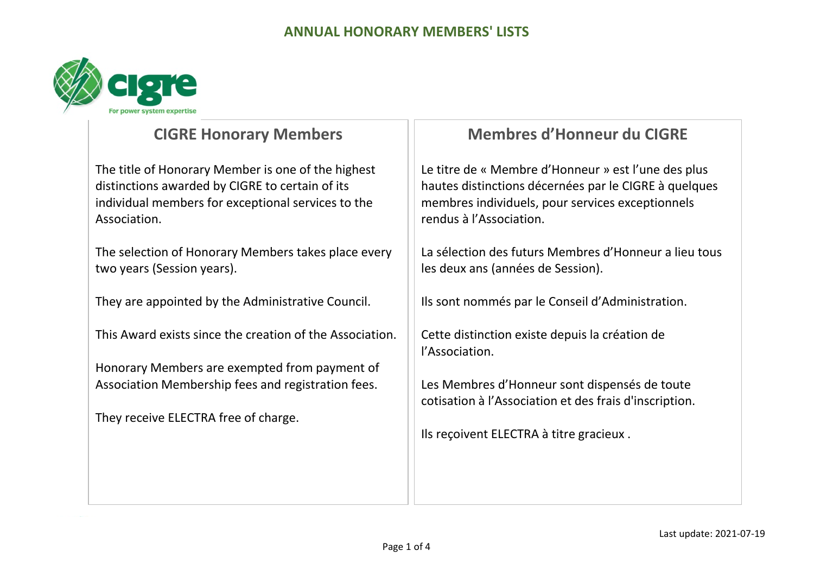

# **CIGRE Honorary Members**

The title of Honorary Member is one of the highest distinctions awarded by CIGRE to certain of its individual members for exceptional services to the Association.

The selection of Honorary Members takes place every two years (Session years).

They are appointed by the Administrative Council.

This Award exists since the creation of the Association.

Honorary Members are exempted from payment of Association Membership fees and registration fees.

They receive ELECTRA free of charge.

# **Membres d'Honneur du CIGRE**

Le titre de « Membre d'Honneur » est l'une des plus hautes distinctions décernées par le CIGRE à quelques membres individuels, pour services exceptionnels rendus à l'Association.

La sélection des futurs Membres d'Honneur a lieu tous les deux ans (années de Session).

Ils sont nommés par le Conseil d'Administration.

Cette distinction existe depuis la création de l'Association.

Les Membres d'Honneur sont dispensés de toute cotisation à l'Association et des frais d'inscription.

Ils reçoivent ELECTRA à titre gracieux .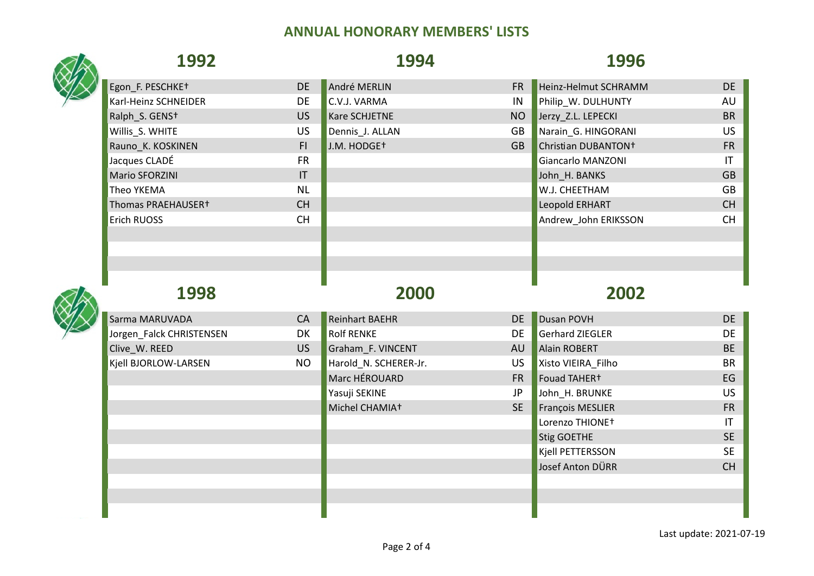| 1992                       |              | 1994                    |           | 1996                            |              |
|----------------------------|--------------|-------------------------|-----------|---------------------------------|--------------|
| Egon_F. PESCHKE+           | <b>DE</b>    | André MERLIN            | <b>FR</b> | Heinz-Helmut SCHRAMM            | <b>DE</b>    |
| Karl-Heinz SCHNEIDER       | <b>DE</b>    | C.V.J. VARMA            | IN        | Philip_W. DULHUNTY              | AU           |
| Ralph S. GENS <sup>+</sup> | <b>US</b>    | Kare SCHJETNE           | <b>NO</b> | Jerzy Z.L. LEPECKI              | <b>BR</b>    |
| Willis_S. WHITE            | US           | Dennis_J. ALLAN         | GB        | Narain_G. HINGORANI             | <b>US</b>    |
| Rauno_K. KOSKINEN          | F1           | J.M. HODGE <sup>+</sup> | <b>GB</b> | Christian DUBANTON <sup>+</sup> | <b>FR</b>    |
| Jacques CLADÉ              | <b>FR</b>    |                         |           | Giancarlo MANZONI               | $\mathsf{I}$ |
| Mario SFORZINI             | $\mathsf{I}$ |                         |           | John_H. BANKS                   | <b>GB</b>    |
| Theo YKEMA                 | <b>NL</b>    |                         |           | W.J. CHEETHAM                   | GB           |
| Thomas PRAEHAUSER+         | <b>CH</b>    |                         |           | Leopold ERHART                  | CH           |
| Erich RUOSS                | <b>CH</b>    |                         |           | Andrew_John ERIKSSON            | <b>CH</b>    |
|                            |              |                         |           |                                 |              |
|                            |              |                         |           |                                 |              |
| 1998                       |              | 2000                    |           | 2002                            |              |
| Sarma MARUVADA             | CA           | <b>Reinhart BAEHR</b>   | <b>DE</b> | Dusan POVH                      | <b>DE</b>    |
| Jorgen_Falck CHRISTENSEN   | DK           | <b>Rolf RENKE</b>       | <b>DE</b> | <b>Gerhard ZIEGLER</b>          | DE           |
| Clive_W. REED              | US           | Graham_F. VINCENT       | AU        | Alain ROBERT                    | <b>BE</b>    |
| Kjell BJORLOW-LARSEN       | <b>NO</b>    | Harold_N. SCHERER-Jr.   | <b>US</b> | Xisto VIEIRA_Filho              | <b>BR</b>    |
|                            |              | Marc HÉROUARD           | <b>FR</b> | Fouad TAHER+                    | EG           |
|                            |              | Yasuji SEKINE           | <b>JP</b> | John_H. BRUNKE                  | <b>US</b>    |
|                            |              | Michel CHAMIA+          | <b>SE</b> | François MESLIER                | <b>FR</b>    |
|                            |              |                         |           | Lorenzo THIONE+                 | IT           |
|                            |              |                         |           | <b>Stig GOETHE</b>              | <b>SE</b>    |
|                            |              |                         |           | <b>Kjell PETTERSSON</b>         | <b>SE</b>    |
|                            |              |                         |           | Josef Anton DÜRR                | <b>CH</b>    |
|                            |              |                         |           |                                 |              |
|                            |              |                         |           |                                 |              |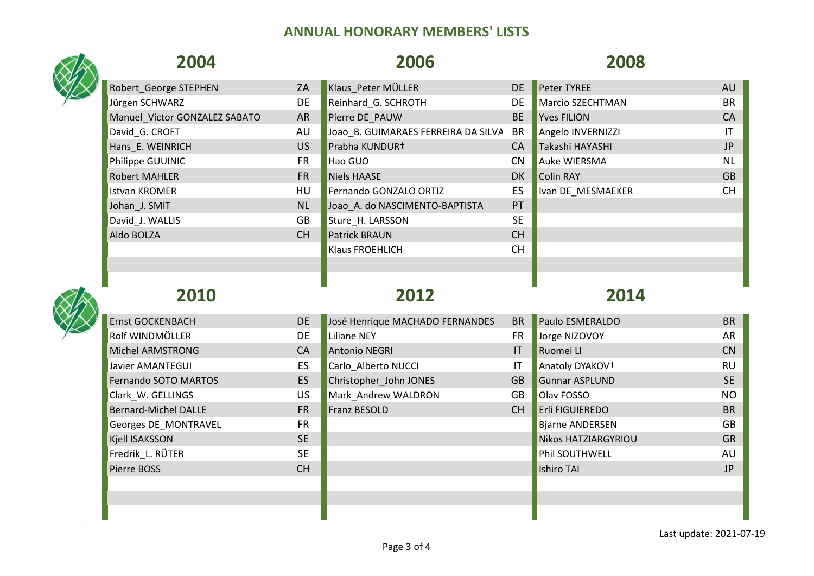## **2004 2006 2008** Robert George STEPHEN ZA Klaus Peter MÜLLER DE Peter TYREE AU AU Jürgen SCHWARZ DE Reinhard\_G. SCHROTH DE Marcio SZECHTMAN BR Manuel Victor GONZALEZ SABATO AR Pierre DE\_PAUW BE Yves FILION CA David G. CROFT THE AU JOAO B. GUIMARAES FERREIRA DA SILVA BR Angelo INVERNIZZI THE ANGELO IT Hans\_E. WEINRICH US Prabha KUNDUR† CA Takashi HAYASHI JP Philippe GUUINIC **FR** Hao GUO CN Auke WIERSMA NL Robert MAHLER FR Niels HAASE DK Colin RAY GB Istvan KROMER **EXAMPLE HU** Fernando GONZALO ORTIZ ES IVan DE\_MESMAEKER CH Johan\_J. SMIT NU NU Joao\_A. do NASCIMENTO-BAPTISTA PT David J. WALLIS GB Sture H. LARSSON SE Aldo BOLZA CH Patrick BRAUN CH POLZA Klaus FROEHLICH CH **2010 2012 2014** Ernst GOCKENBACH DE DE José Henrique MACHADO FERNANDES BR Paulo ESMERALDO BR PAULO BR Rolf WINDMÖLLER DE Liliane NEY FR Jorge NIZOVOY AR Michel ARMSTRONG CA CA Antonio NEGRI IN CONTROLLER IT Ruomei LI CONTROLLER CONTROLLER CONTROLLER CONTROLLER CO Javier AMANTEGUI **EXACCI ES CARLO ALBERTO NUCCI IT Anatoly DYAKOV†** THE RU Fernando SOTO MARTOS ES Christopher John JONES GB Gunnar ASPLUND SE Clark W. GELLINGS CONSULTER STRUCK US Mark Andrew WALDRON GB Olav FOSSO CONSULTER STRUCK NO Bernard-Michel DALLE FR Franz BESOLD CH Erli FIGUIEREDO BR Georges DE\_MONTRAVEL FR Biarne ANDERSEN GB Kjell ISAKSSON SE Nikos HATZIARGYRIOU GRAND GRAND SE NIKOS HATZIARGYRIOU GRAND GRAND GRAND GRAND GRAND GRAND G Fredrik\_L. RÜTER SE Phil SOUTHWELL AU Pierre BOSS CH Ishiro TAI JP is the state of the state of the state of the state of the state of the state of t

Last update: 2021-07-19